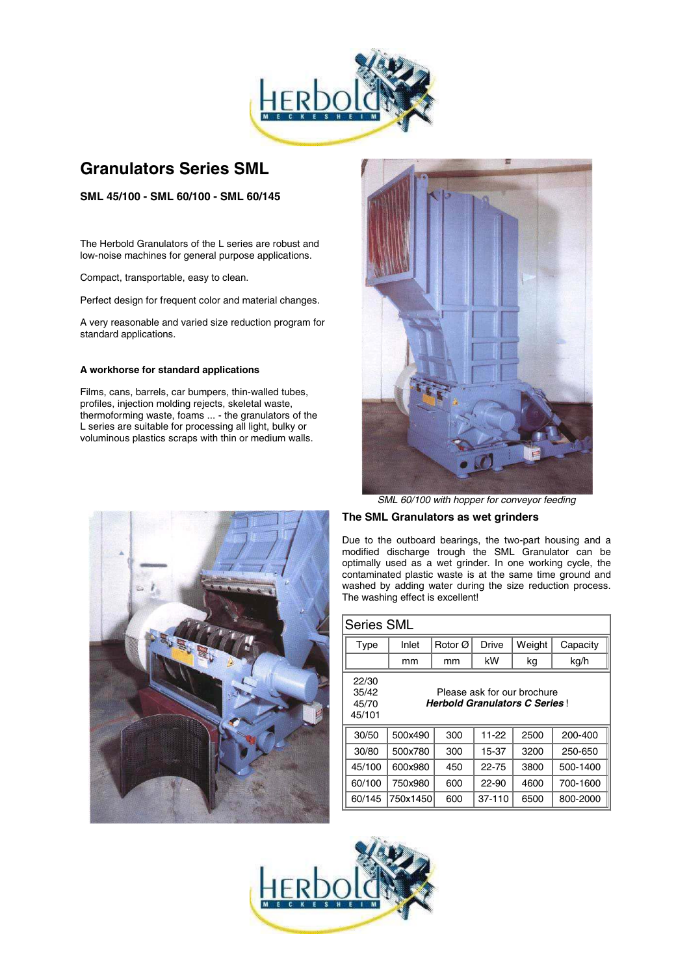

# **Granulators Series SML**

**SML 45/100 - SML 60/100 - SML 60/145**

The Herbold Granulators of the L series are robust and low-noise machines for general purpose applications.

Compact, transportable, easy to clean.

Perfect design for frequent color and material changes.

A very reasonable and varied size reduction program for standard applications.

# **A workhorse for standard applications**

Films, cans, barrels, car bumpers, thin-walled tubes, profiles, injection molding rejects, skeletal waste, thermoforming waste, foams ... - the granulators of the L series are suitable for processing all light, bulky or voluminous plastics scraps with thin or medium walls.



*SML 60/100 with hopper for conveyor feeding*

# **The SML Granulators as wet grinders**

Due to the outboard bearings, the two-part housing and a modified discharge trough the SML Granulator can be optimally used as a wet grinder. In one working cycle, the contaminated plastic waste is at the same time ground and washed by adding water during the size reduction process. The washing effect is excellent!

| Series SML                        |                                                                     |     |        |        |          |  |  |  |  |  |
|-----------------------------------|---------------------------------------------------------------------|-----|--------|--------|----------|--|--|--|--|--|
| Type                              | Inlet                                                               |     | Drive  | Weight | Capacity |  |  |  |  |  |
|                                   | mm                                                                  | mm  | kW     | kg     | kg/h     |  |  |  |  |  |
| 22/30<br>35/42<br>45/70<br>45/101 | Please ask for our brochure<br><b>Herbold Granulators C Series!</b> |     |        |        |          |  |  |  |  |  |
| 30/50                             | 500x490                                                             | 300 | 11-22  | 2500   | 200-400  |  |  |  |  |  |
| 30/80                             | 500x780                                                             | 300 | 15-37  | 3200   | 250-650  |  |  |  |  |  |
| 45/100                            | 600x980                                                             | 450 | 22-75  | 3800   | 500-1400 |  |  |  |  |  |
| 60/100                            | 750x980                                                             | 600 | 22-90  | 4600   | 700-1600 |  |  |  |  |  |
| 60/145                            | 750x1450                                                            | 600 | 37-110 | 6500   | 800-2000 |  |  |  |  |  |